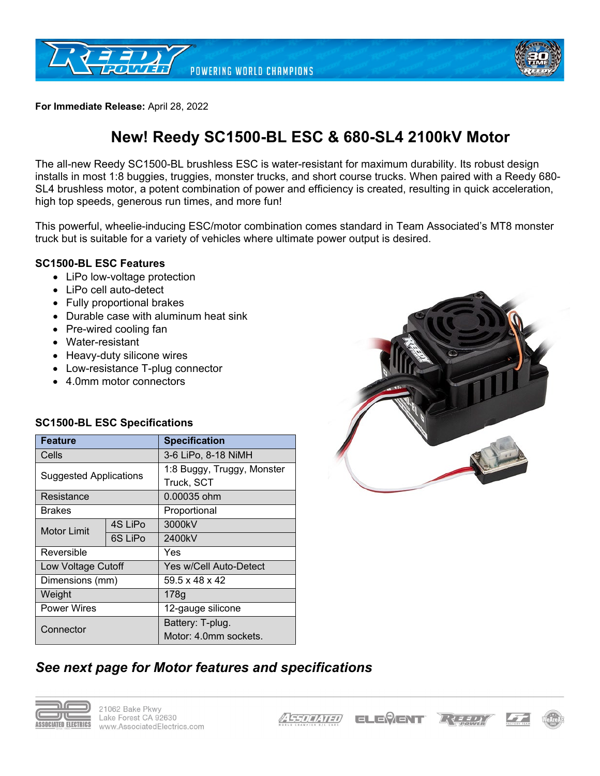



**For Immediate Release:** April 28, 2022

# **New! Reedy SC1500-BL ESC & 680-SL4 2100kV Motor**

The all-new Reedy SC1500-BL brushless ESC is water-resistant for maximum durability. Its robust design installs in most 1:8 buggies, truggies, monster trucks, and short course trucks. When paired with a Reedy 680- SL4 brushless motor, a potent combination of power and efficiency is created, resulting in quick acceleration, high top speeds, generous run times, and more fun!

This powerful, wheelie-inducing ESC/motor combination comes standard in Team Associated's MT8 monster truck but is suitable for a variety of vehicles where ultimate power output is desired.

#### **SC1500-BL ESC Features**

- LiPo low-voltage protection
- LiPo cell auto-detect
- Fully proportional brakes
- Durable case with aluminum heat sink
- Pre-wired cooling fan
- Water-resistant
- Heavy-duty silicone wires
- Low-resistance T-plug connector
- 4.0mm motor connectors

### **SC1500-BL ESC Specifications**

| <b>Feature</b>                |         | <b>Specification</b>                     |  |  |
|-------------------------------|---------|------------------------------------------|--|--|
| Cells                         |         | 3-6 LiPo, 8-18 NiMH                      |  |  |
| <b>Suggested Applications</b> |         | 1:8 Buggy, Truggy, Monster<br>Truck, SCT |  |  |
|                               |         |                                          |  |  |
| Resistance                    |         | 0.00035 ohm                              |  |  |
| <b>Brakes</b>                 |         | Proportional                             |  |  |
| <b>Motor Limit</b>            | 4S LiPo | 3000kV                                   |  |  |
|                               | 6S LiPo | 2400kV                                   |  |  |
| Reversible                    |         | Yes                                      |  |  |
| Low Voltage Cutoff            |         | Yes w/Cell Auto-Detect                   |  |  |
| Dimensions (mm)               |         | $59.5 \times 48 \times 42$               |  |  |
| Weight                        |         | 178 <sub>g</sub>                         |  |  |
| <b>Power Wires</b>            |         | 12-gauge silicone                        |  |  |
| Connector                     |         | Battery: T-plug.                         |  |  |
|                               |         | Motor: 4.0mm sockets.                    |  |  |



# *See next page for Motor features and specifications*



**ELEVENT**  $L$  $d$   $\overrightarrow{d}$   $\overrightarrow{d}$